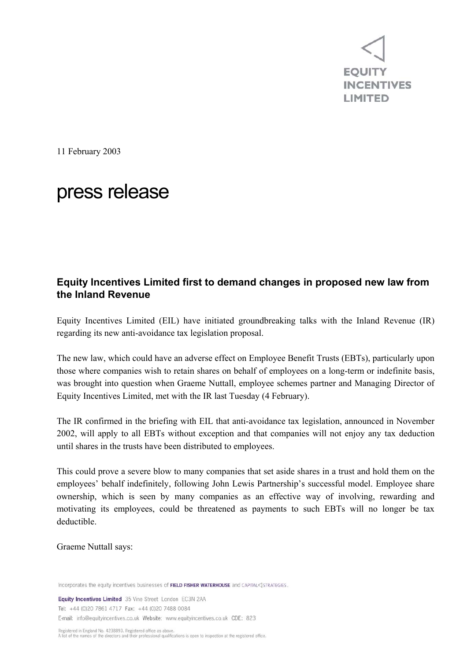

11 February 2003

## press release

## **Equity Incentives Limited first to demand changes in proposed new law from the Inland Revenue**

Equity Incentives Limited (EIL) have initiated groundbreaking talks with the Inland Revenue (IR) regarding its new anti-avoidance tax legislation proposal.

The new law, which could have an adverse effect on Employee Benefit Trusts (EBTs), particularly upon those where companies wish to retain shares on behalf of employees on a long-term or indefinite basis, was brought into question when Graeme Nuttall, employee schemes partner and Managing Director of Equity Incentives Limited, met with the IR last Tuesday (4 February).

The IR confirmed in the briefing with EIL that anti-avoidance tax legislation, announced in November 2002, will apply to all EBTs without exception and that companies will not enjoy any tax deduction until shares in the trusts have been distributed to employees.

This could prove a severe blow to many companies that set aside shares in a trust and hold them on the employees' behalf indefinitely, following John Lewis Partnership's successful model. Employee share ownership, which is seen by many companies as an effective way of involving, rewarding and motivating its employees, could be threatened as payments to such EBTs will no longer be tax deductible.

Graeme Nuttall says:

Incorporates the equity incentives businesses of FIELD FISHER WATERHOUSE and CAPITAL<JSTRATEGIES.

Equity Incentives Limited 35 Vine Street London EC3N 2AA Tel: +44 (0)20 7861 4717 Fax: +44 (0)20 7488 0084 E-mail: info@equityincentives.co.uk Website: www.equityincentives.co.uk CDE: 823